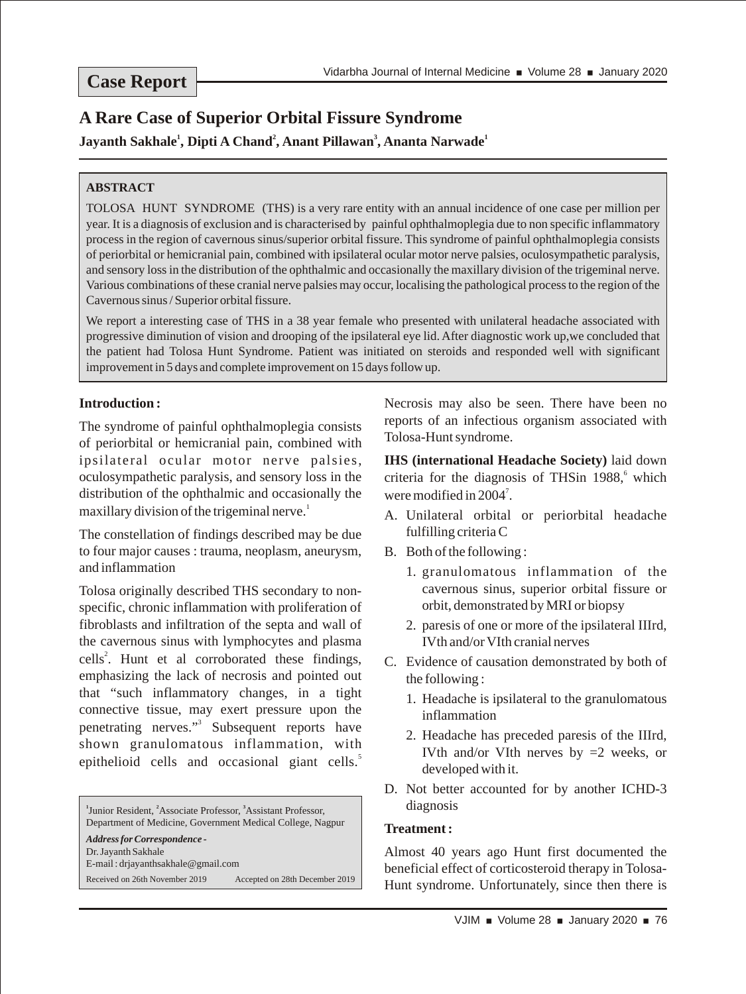# **Case Report**

# **A Rare Case of Superior Orbital Fissure Syndrome**

**1 2 3 1 Jayanth Sakhale , Dipti A Chand , Anant Pillawan , Ananta Narwade**

## **ABSTRACT**

TOLOSA HUNT SYNDROME (THS) is a very rare entity with an annual incidence of one case per million per year. It is a diagnosis of exclusion and is characterised by painful ophthalmoplegia due to non specific inflammatory process in the region of cavernous sinus/superior orbital fissure. This syndrome of painful ophthalmoplegia consists of periorbital or hemicranial pain, combined with ipsilateral ocular motor nerve palsies, oculosympathetic paralysis, and sensory loss in the distribution of the ophthalmic and occasionally the maxillary division of the trigeminal nerve. Various combinations of these cranial nerve palsies may occur, localising the pathological process to the region of the Cavernous sinus / Superior orbital fissure.

We report a interesting case of THS in a 38 year female who presented with unilateral headache associated with progressive diminution of vision and drooping of the ipsilateral eye lid. After diagnostic work up,we concluded that the patient had Tolosa Hunt Syndrome. Patient was initiated on steroids and responded well with significant improvement in 5 days and complete improvement on 15 days follow up.

# **Introduction :**

The syndrome of painful ophthalmoplegia consists of periorbital or hemicranial pain, combined with ipsilateral ocular motor nerve palsies, oculosympathetic paralysis, and sensory loss in the distribution of the ophthalmic and occasionally the maxillary division of the trigeminal nerve.<sup>1</sup>

The constellation of findings described may be due to four major causes : trauma, neoplasm, aneurysm, and inflammation

Tolosa originally described THS secondary to nonspecific, chronic inflammation with proliferation of fibroblasts and infiltration of the septa and wall of the cavernous sinus with lymphocytes and plasma cells<sup>2</sup>. Hunt et al corroborated these findings, emphasizing the lack of necrosis and pointed out that "such inflammatory changes, in a tight connective tissue, may exert pressure upon the penetrating nerves."<sup>3</sup> Subsequent reports have shown granulomatous inflammation, with epithelioid cells and occasional giant cells.<sup>5</sup>

<sup>1</sup> Junior Resident, <sup>2</sup> Associate Professor, <sup>3</sup> Assistant Professor, Department of Medicine, Government Medical College, Nagpur *Address for Correspondence -* Dr. Jayanth Sakhale E-mail : drjayanthsakhale@gmail.com Received on 26th November 2019 Accepted on 28th December 2019 Necrosis may also be seen. There have been no reports of an infectious organism associated with Tolosa-Hunt syndrome.

**IHS (international Headache Society)** laid down criteria for the diagnosis of THSin 1988,<sup>6</sup> which were modified in  $2004$ <sup>7</sup>.

- A. Unilateral orbital or periorbital headache fulfilling criteria C
- B. Both of the following :
	- 1. granulomatous inflammation of the cavernous sinus, superior orbital fissure or orbit, demonstrated by MRI or biopsy
	- 2. paresis of one or more of the ipsilateral IIIrd, IVth and/or VIth cranial nerves
- C. Evidence of causation demonstrated by both of the following :
	- 1. Headache is ipsilateral to the granulomatous inflammation
	- 2. Headache has preceded paresis of the IIIrd, IVth and/or VIth nerves by  $=2$  weeks, or developed with it.
- D. Not better accounted for by another ICHD-3 diagnosis

### **Treatment :**

Almost 40 years ago Hunt first documented the beneficial effect of corticosteroid therapy in Tolosa-Hunt syndrome. Unfortunately, since then there is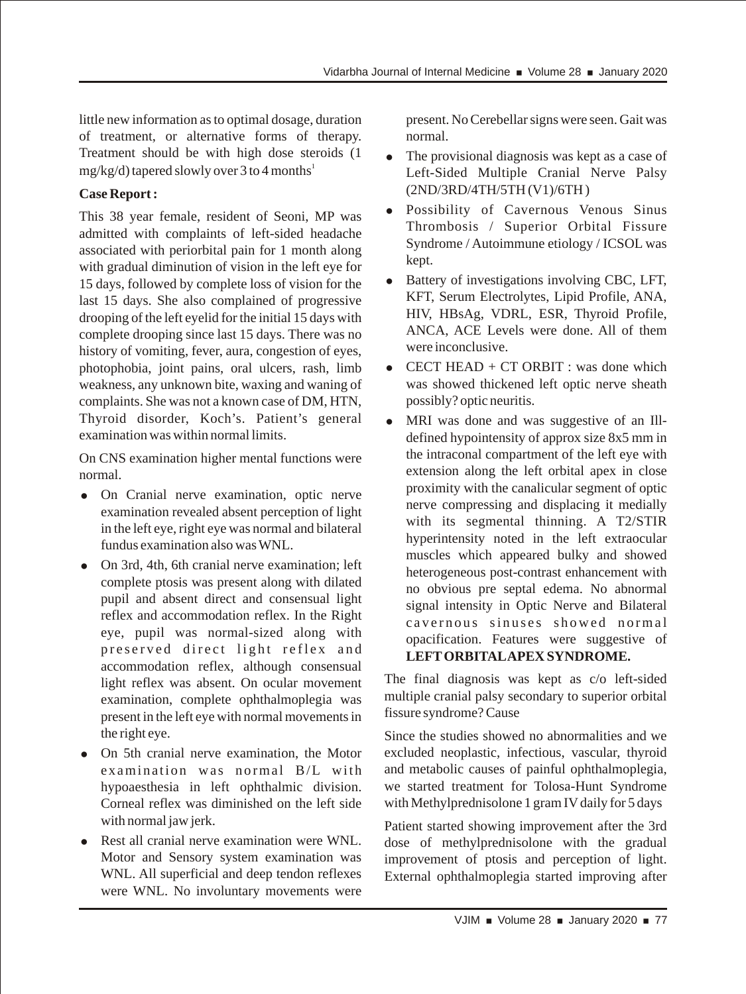little new information as to optimal dosage, duration of treatment, or alternative forms of therapy. Treatment should be with high dose steroids (1  $mg/kg/d)$  tapered slowly over 3 to 4 months<sup>1</sup>

# **Case Report :**

This 38 year female, resident of Seoni, MP was admitted with complaints of left-sided headache associated with periorbital pain for 1 month along with gradual diminution of vision in the left eye for 15 days, followed by complete loss of vision for the last 15 days. She also complained of progressive drooping of the left eyelid for the initial 15 days with complete drooping since last 15 days. There was no history of vomiting, fever, aura, congestion of eyes, photophobia, joint pains, oral ulcers, rash, limb weakness, any unknown bite, waxing and waning of complaints. She was not a known case of DM, HTN, Thyroid disorder, Koch's. Patient's general examination was within normal limits.

On CNS examination higher mental functions were normal.

- = On Cranial nerve examination, optic nerve examination revealed absent perception of light in the left eye, right eye was normal and bilateral fundus examination also was WNL.
- On 3rd, 4th, 6th cranial nerve examination; left complete ptosis was present along with dilated pupil and absent direct and consensual light reflex and accommodation reflex. In the Right eye, pupil was normal-sized along with preserved direct light reflex and accommodation reflex, although consensual light reflex was absent. On ocular movement examination, complete ophthalmoplegia was present in the left eye with normal movements in the right eye.
- On 5th cranial nerve examination, the Motor examination was normal B/L with hypoaesthesia in left ophthalmic division. Corneal reflex was diminished on the left side with normal jaw jerk.
- Rest all cranial nerve examination were WNL. Motor and Sensory system examination was WNL. All superficial and deep tendon reflexes were WNL. No involuntary movements were

present. No Cerebellar signs were seen. Gait was normal.

- The provisional diagnosis was kept as a case of Left-Sided Multiple Cranial Nerve Palsy (2ND/3RD/4TH/5TH (V1)/6TH )
- Possibility of Cavernous Venous Sinus Thrombosis / Superior Orbital Fissure Syndrome / Autoimmune etiology / ICSOL was kept.
- Battery of investigations involving CBC, LFT, KFT, Serum Electrolytes, Lipid Profile, ANA, HIV, HBsAg, VDRL, ESR, Thyroid Profile, ANCA, ACE Levels were done. All of them were inconclusive.
- $CECT HEAD + CT ORBIT : was done which$ was showed thickened left optic nerve sheath possibly? optic neuritis.
- MRI was done and was suggestive of an Illdefined hypointensity of approx size 8x5 mm in the intraconal compartment of the left eye with extension along the left orbital apex in close proximity with the canalicular segment of optic nerve compressing and displacing it medially with its segmental thinning. A T2/STIR hyperintensity noted in the left extraocular muscles which appeared bulky and showed heterogeneous post-contrast enhancement with no obvious pre septal edema. No abnormal signal intensity in Optic Nerve and Bilateral cavernous sinuses showed normal opacification. Features were suggestive of **LEFT ORBITALAPEX SYNDROME.**

The final diagnosis was kept as c/o left-sided multiple cranial palsy secondary to superior orbital fissure syndrome? Cause

Since the studies showed no abnormalities and we excluded neoplastic, infectious, vascular, thyroid and metabolic causes of painful ophthalmoplegia, we started treatment for Tolosa-Hunt Syndrome with Methylprednisolone 1 gram IV daily for 5 days

Patient started showing improvement after the 3rd dose of methylprednisolone with the gradual improvement of ptosis and perception of light. External ophthalmoplegia started improving after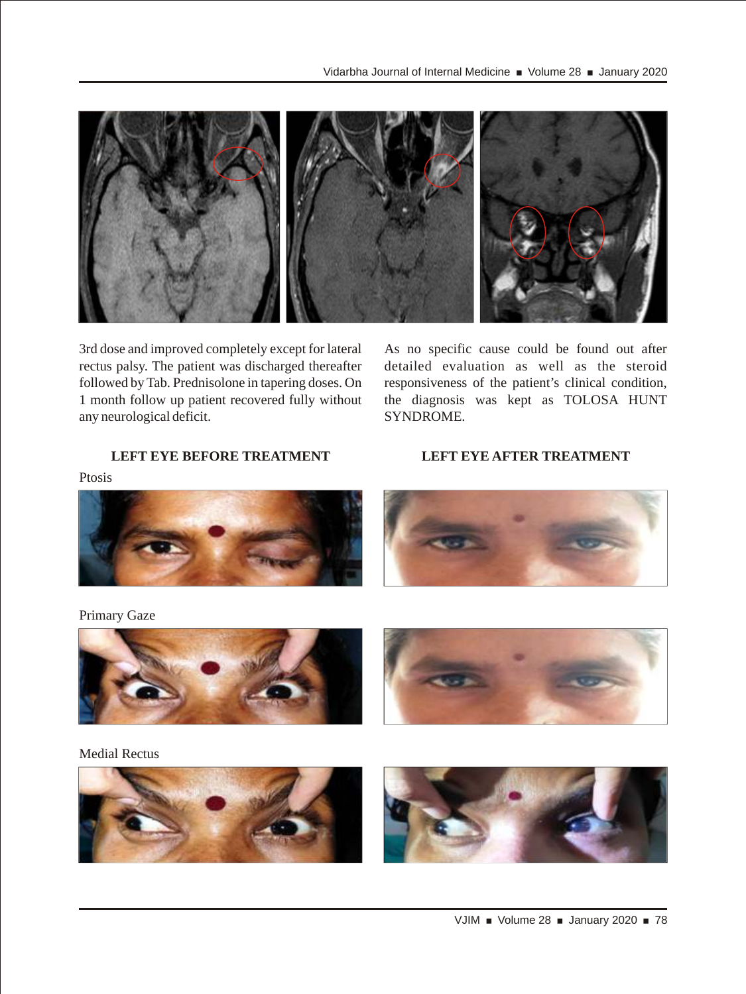

3rd dose and improved completely except for lateral rectus palsy. The patient was discharged thereafter followed by Tab. Prednisolone in tapering doses. On 1 month follow up patient recovered fully without any neurological deficit.

# As no specific cause could be found out after detailed evaluation as well as the steroid responsiveness of the patient's clinical condition, the diagnosis was kept as TOLOSA HUNT SYNDROME.

# **LEFT EYE BEFORE TREATMENT LEFT EYE AFTER TREATMENT**

Ptosis



#### Primary Gaze



Medial Rectus

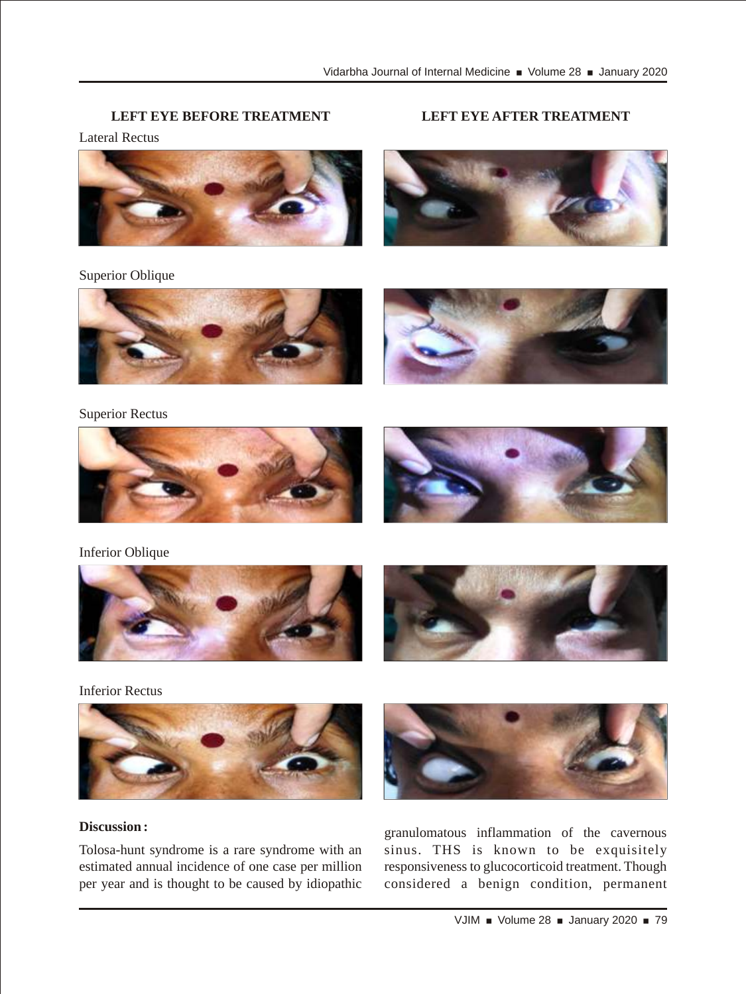## **LEFT EYE BEFORE TREATMENT LEFT EYE AFTER TREATMENT**

Lateral Rectus



Superior Oblique



Superior Rectus





Inferior Oblique





Inferior Rectus



### **Discussion :**

Tolosa-hunt syndrome is a rare syndrome with an estimated annual incidence of one case per million per year and is thought to be caused by idiopathic



granulomatous inflammation of the cavernous sinus. THS is known to be exquisitely responsiveness to glucocorticoid treatment. Though considered a benign condition, permanent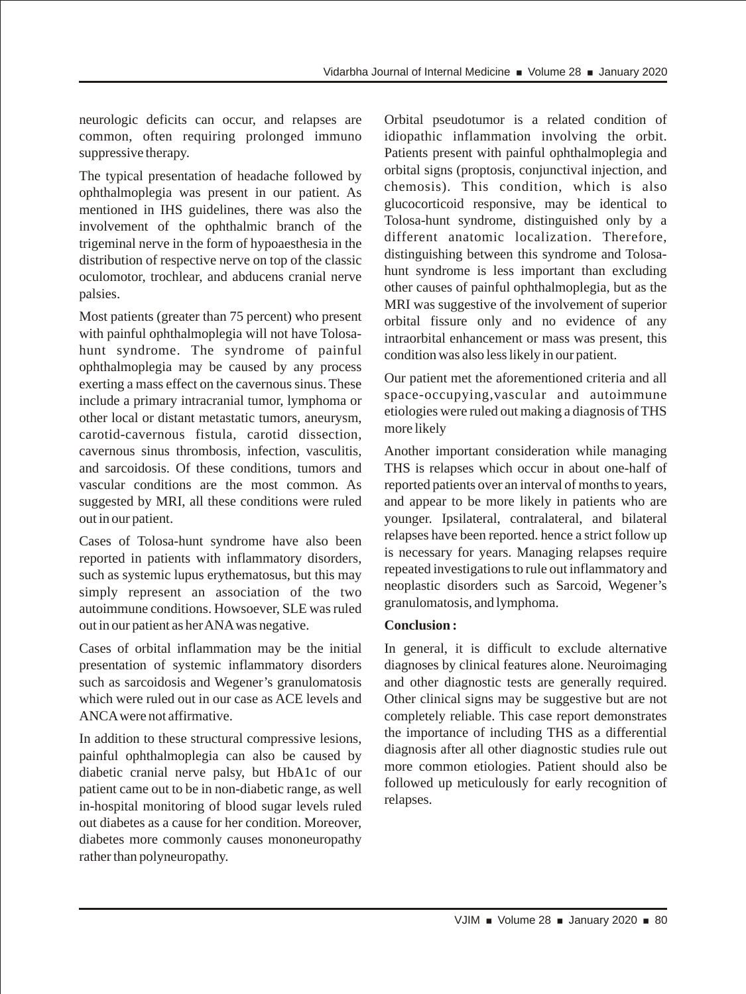neurologic deficits can occur, and relapses are common, often requiring prolonged immuno suppressive therapy.

The typical presentation of headache followed by ophthalmoplegia was present in our patient. As mentioned in IHS guidelines, there was also the involvement of the ophthalmic branch of the trigeminal nerve in the form of hypoaesthesia in the distribution of respective nerve on top of the classic oculomotor, trochlear, and abducens cranial nerve palsies.

Most patients (greater than 75 percent) who present with painful ophthalmoplegia will not have Tolosahunt syndrome. The syndrome of painful ophthalmoplegia may be caused by any process exerting a mass effect on the cavernous sinus. These include a primary intracranial tumor, lymphoma or other local or distant metastatic tumors, aneurysm, carotid-cavernous fistula, carotid dissection, cavernous sinus thrombosis, infection, vasculitis, and sarcoidosis. Of these conditions, tumors and vascular conditions are the most common. As suggested by MRI, all these conditions were ruled out in our patient.

Cases of Tolosa-hunt syndrome have also been reported in patients with inflammatory disorders, such as systemic lupus erythematosus, but this may simply represent an association of the two autoimmune conditions. Howsoever, SLE was ruled out in our patient as her ANA was negative.

Cases of orbital inflammation may be the initial presentation of systemic inflammatory disorders such as sarcoidosis and Wegener's granulomatosis which were ruled out in our case as ACE levels and ANCA were not affirmative.

In addition to these structural compressive lesions, painful ophthalmoplegia can also be caused by diabetic cranial nerve palsy, but HbA1c of our patient came out to be in non-diabetic range, as well in-hospital monitoring of blood sugar levels ruled out diabetes as a cause for her condition. Moreover, diabetes more commonly causes mononeuropathy rather than polyneuropathy.

Orbital pseudotumor is a related condition of idiopathic inflammation involving the orbit. Patients present with painful ophthalmoplegia and orbital signs (proptosis, conjunctival injection, and chemosis). This condition, which is also glucocorticoid responsive, may be identical to Tolosa-hunt syndrome, distinguished only by a different anatomic localization. Therefore, distinguishing between this syndrome and Tolosahunt syndrome is less important than excluding other causes of painful ophthalmoplegia, but as the MRI was suggestive of the involvement of superior orbital fissure only and no evidence of any intraorbital enhancement or mass was present, this condition was also less likely in our patient.

Our patient met the aforementioned criteria and all space-occupying,vascular and autoimmune etiologies were ruled out making a diagnosis of THS more likely

Another important consideration while managing THS is relapses which occur in about one-half of reported patients over an interval of months to years, and appear to be more likely in patients who are younger. Ipsilateral, contralateral, and bilateral relapses have been reported. hence a strict follow up is necessary for years. Managing relapses require repeated investigations to rule out inflammatory and neoplastic disorders such as Sarcoid, Wegener's granulomatosis, and lymphoma.

# **Conclusion :**

In general, it is difficult to exclude alternative diagnoses by clinical features alone. Neuroimaging and other diagnostic tests are generally required. Other clinical signs may be suggestive but are not completely reliable. This case report demonstrates the importance of including THS as a differential diagnosis after all other diagnostic studies rule out more common etiologies. Patient should also be followed up meticulously for early recognition of relapses.